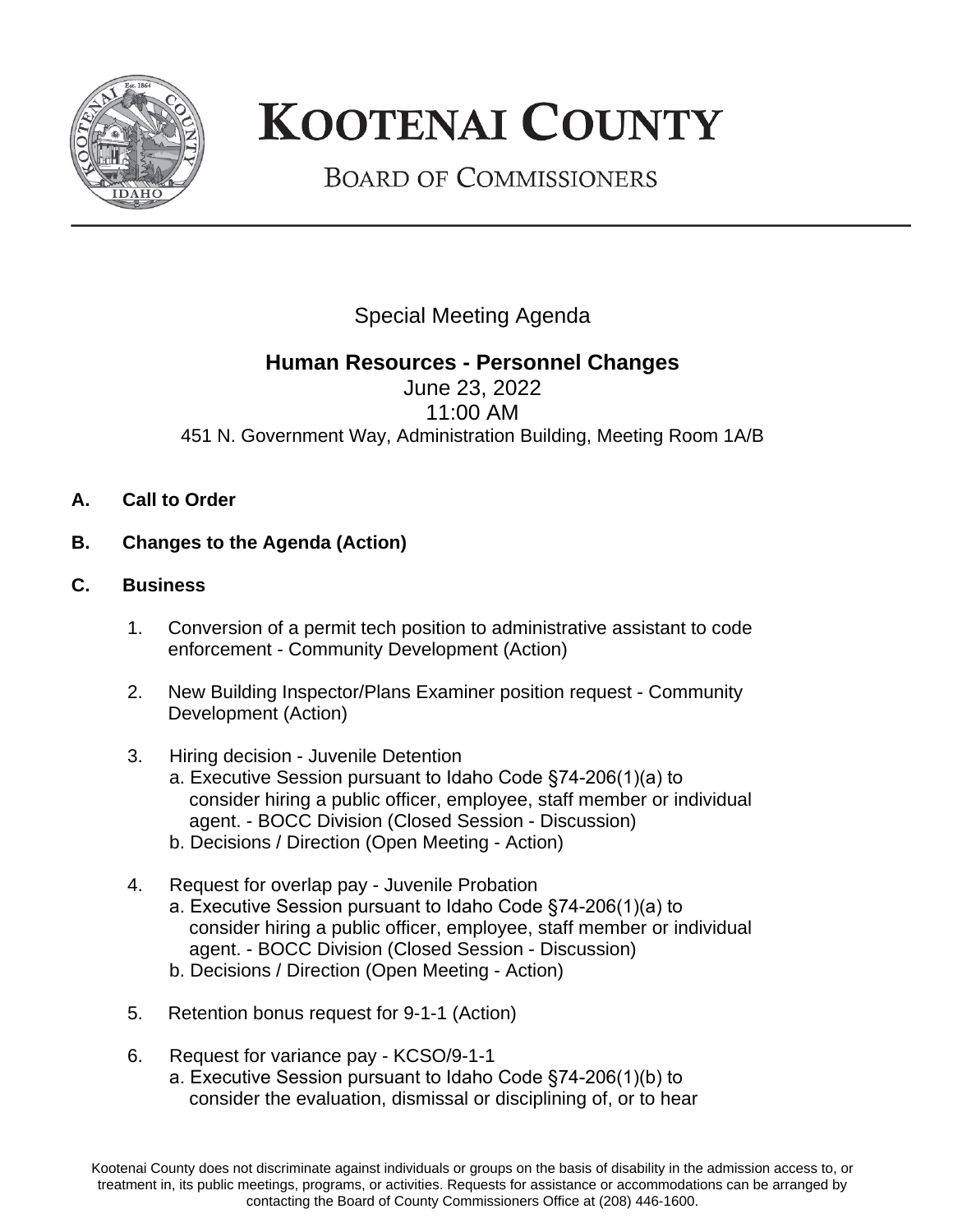

## **KOOTENAI COUNTY**

**BOARD OF COMMISSIONERS** 

Special Meeting Agenda

## **Human Resources - Personnel Changes**

June 23, 2022 11:00 AM 451 N. Government Way, Administration Building, Meeting Room 1A/B

- **A. Call to Order**
- **B. Changes to the Agenda (Action)**
- **C. Business**
	- 1. Conversion of a permit tech position to administrative assistant to code enforcement - Community Development (Action)
	- 2. New Building Inspector/Plans Examiner position request Community Development (Action)
	- 3. Hiring decision Juvenile Detention
		- a. Executive Session pursuant to Idaho Code §74-206(1)(a) to consider hiring a public officer, employee, staff member or individual agent. - BOCC Division (Closed Session - Discussion)
		- b. Decisions / Direction (Open Meeting Action)
	- 4. Request for overlap pay Juvenile Probation a. Executive Session pursuant to Idaho Code §74-206(1)(a) to consider hiring a public officer, employee, staff member or individual agent. - BOCC Division (Closed Session - Discussion)
		- b. Decisions / Direction (Open Meeting Action)
	- 5. Retention bonus request for 9-1-1 (Action)
	- 6. Request for variance pay KCSO/9-1-1 a. Executive Session pursuant to Idaho Code §74-206(1)(b) to consider the evaluation, dismissal or disciplining of, or to hear

Kootenai County does not discriminate against individuals or groups on the basis of disability in the admission access to, or treatment in, its public meetings, programs, or activities. Requests for assistance or accommodations can be arranged by contacting the Board of County Commissioners Office at (208) 446-1600.